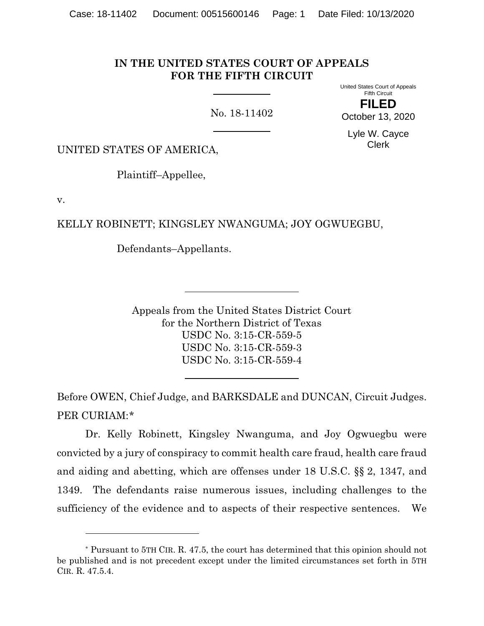## **IN THE UNITED STATES COURT OF APPEALS FOR THE FIFTH CIRCUIT**

No. 18-11402

United States Court of Appeals Fifth Circuit

**FILED** October 13, 2020

Lyle W. Cayce Clerk

UNITED STATES OF AMERICA,

Plaintiff–Appellee,

v.

KELLY ROBINETT; KINGSLEY NWANGUMA; JOY OGWUEGBU,

Defendants–Appellants.

Appeals from the United States District Court for the Northern District of Texas USDC No. 3:15-CR-559-5 USDC No. 3:15-CR-559-3 USDC No. 3:15-CR-559-4

Before OWEN, Chief Judge, and BARKSDALE and DUNCAN, Circuit Judges. PER CURIAM:[\\*](#page-0-0)

Dr. Kelly Robinett, Kingsley Nwanguma, and Joy Ogwuegbu were convicted by a jury of conspiracy to commit health care fraud, health care fraud and aiding and abetting, which are offenses under 18 U.S.C. §§ 2, 1347, and 1349. The defendants raise numerous issues, including challenges to the sufficiency of the evidence and to aspects of their respective sentences. We

<span id="page-0-0"></span><sup>\*</sup> Pursuant to 5TH CIR. R. 47.5, the court has determined that this opinion should not be published and is not precedent except under the limited circumstances set forth in 5TH CIR. R. 47.5.4.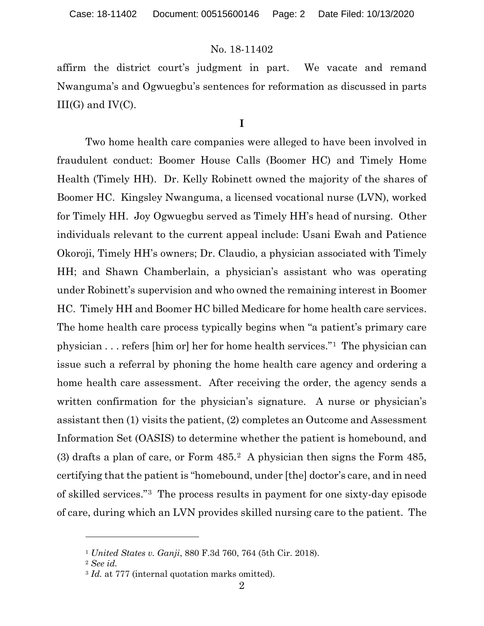affirm the district court's judgment in part. We vacate and remand Nwanguma's and Ogwuegbu's sentences for reformation as discussed in parts  $III(G)$  and  $IV(C)$ .

# **I**

Two home health care companies were alleged to have been involved in fraudulent conduct: Boomer House Calls (Boomer HC) and Timely Home Health (Timely HH). Dr. Kelly Robinett owned the majority of the shares of Boomer HC. Kingsley Nwanguma, a licensed vocational nurse (LVN), worked for Timely HH. Joy Ogwuegbu served as Timely HH's head of nursing. Other individuals relevant to the current appeal include: Usani Ewah and Patience Okoroji, Timely HH's owners; Dr. Claudio, a physician associated with Timely HH; and Shawn Chamberlain, a physician's assistant who was operating under Robinett's supervision and who owned the remaining interest in Boomer HC. Timely HH and Boomer HC billed Medicare for home health care services. The home health care process typically begins when "a patient's primary care physician . . . refers [him or] her for home health services."[1](#page-1-0) The physician can issue such a referral by phoning the home health care agency and ordering a home health care assessment. After receiving the order, the agency sends a written confirmation for the physician's signature. A nurse or physician's assistant then (1) visits the patient, (2) completes an Outcome and Assessment Information Set (OASIS) to determine whether the patient is homebound, and (3) drafts a plan of care, or Form 485.[2](#page-1-1) A physician then signs the Form 485, certifying that the patient is "homebound, under [the] doctor's care, and in need of skilled services."[3](#page-1-2) The process results in payment for one sixty-day episode of care, during which an LVN provides skilled nursing care to the patient. The

<span id="page-1-1"></span><span id="page-1-0"></span><sup>1</sup> *United States v. Ganji*, 880 F.3d 760, 764 (5th Cir. 2018).

<sup>2</sup> *See id.*

<span id="page-1-2"></span><sup>&</sup>lt;sup>3</sup> *Id.* at 777 (internal quotation marks omitted).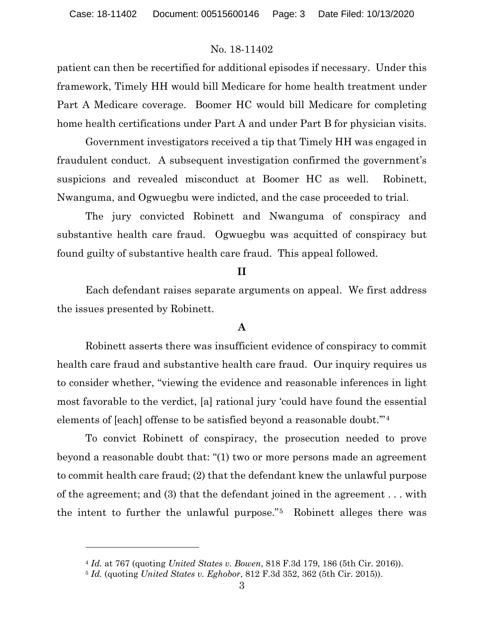patient can then be recertified for additional episodes if necessary. Under this framework, Timely HH would bill Medicare for home health treatment under Part A Medicare coverage. Boomer HC would bill Medicare for completing home health certifications under Part A and under Part B for physician visits.

Government investigators received a tip that Timely HH was engaged in fraudulent conduct. A subsequent investigation confirmed the government's suspicions and revealed misconduct at Boomer HC as well. Robinett, Nwanguma, and Ogwuegbu were indicted, and the case proceeded to trial.

The jury convicted Robinett and Nwanguma of conspiracy and substantive health care fraud. Ogwuegbu was acquitted of conspiracy but found guilty of substantive health care fraud. This appeal followed.

### **II**

Each defendant raises separate arguments on appeal. We first address the issues presented by Robinett.

## **A**

Robinett asserts there was insufficient evidence of conspiracy to commit health care fraud and substantive health care fraud. Our inquiry requires us to consider whether, "viewing the evidence and reasonable inferences in light most favorable to the verdict, [a] rational jury 'could have found the essential elements of [each] offense to be satisfied beyond a reasonable doubt.'"[4](#page-2-0)

To convict Robinett of conspiracy, the prosecution needed to prove beyond a reasonable doubt that: "(1) two or more persons made an agreement to commit health care fraud; (2) that the defendant knew the unlawful purpose of the agreement; and (3) that the defendant joined in the agreement . . . with the intent to further the unlawful purpose."[5](#page-2-1) Robinett alleges there was

<span id="page-2-0"></span><sup>4</sup> *Id.* at 767 (quoting *United States v. Bowen*, 818 F.3d 179, 186 (5th Cir. 2016)).

<span id="page-2-1"></span><sup>5</sup> *Id.* (quoting *United States v. Eghobor*, 812 F.3d 352, 362 (5th Cir. 2015)).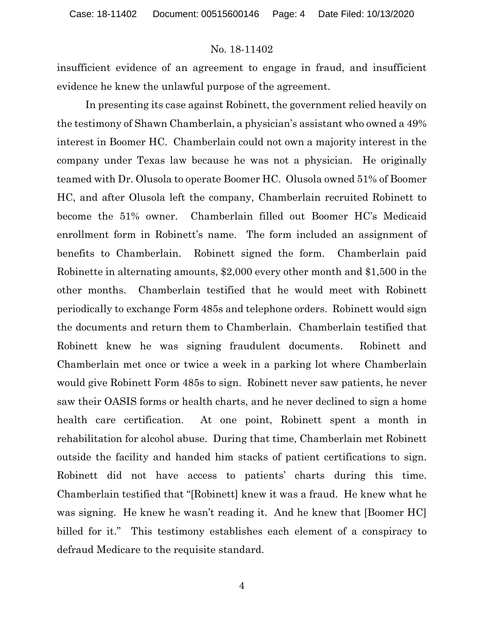insufficient evidence of an agreement to engage in fraud, and insufficient evidence he knew the unlawful purpose of the agreement.

In presenting its case against Robinett, the government relied heavily on the testimony of Shawn Chamberlain, a physician's assistant who owned a 49% interest in Boomer HC. Chamberlain could not own a majority interest in the company under Texas law because he was not a physician. He originally teamed with Dr. Olusola to operate Boomer HC. Olusola owned 51% of Boomer HC, and after Olusola left the company, Chamberlain recruited Robinett to become the 51% owner. Chamberlain filled out Boomer HC's Medicaid enrollment form in Robinett's name. The form included an assignment of benefits to Chamberlain. Robinett signed the form. Chamberlain paid Robinette in alternating amounts, \$2,000 every other month and \$1,500 in the other months. Chamberlain testified that he would meet with Robinett periodically to exchange Form 485s and telephone orders. Robinett would sign the documents and return them to Chamberlain. Chamberlain testified that Robinett knew he was signing fraudulent documents. Robinett and Chamberlain met once or twice a week in a parking lot where Chamberlain would give Robinett Form 485s to sign. Robinett never saw patients, he never saw their OASIS forms or health charts, and he never declined to sign a home health care certification. At one point, Robinett spent a month in rehabilitation for alcohol abuse. During that time, Chamberlain met Robinett outside the facility and handed him stacks of patient certifications to sign. Robinett did not have access to patients' charts during this time. Chamberlain testified that "[Robinett] knew it was a fraud. He knew what he was signing. He knew he wasn't reading it. And he knew that [Boomer HC] billed for it." This testimony establishes each element of a conspiracy to defraud Medicare to the requisite standard.

4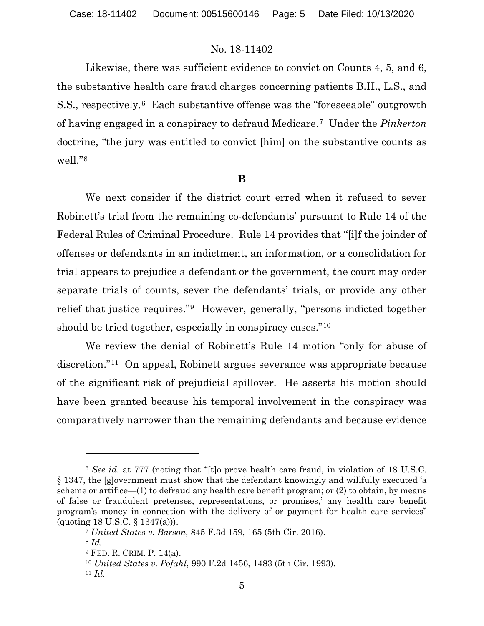Likewise, there was sufficient evidence to convict on Counts 4, 5, and 6, the substantive health care fraud charges concerning patients B.H., L.S., and S.S., respectively.[6](#page-4-0) Each substantive offense was the "foreseeable" outgrowth of having engaged in a conspiracy to defraud Medicare.[7](#page-4-1) Under the *Pinkerton* doctrine, "the jury was entitled to convict [him] on the substantive counts as well."[8](#page-4-2)

#### **B**

We next consider if the district court erred when it refused to sever Robinett's trial from the remaining co-defendants' pursuant to Rule 14 of the Federal Rules of Criminal Procedure. Rule 14 provides that "[i]f the joinder of offenses or defendants in an indictment, an information, or a consolidation for trial appears to prejudice a defendant or the government, the court may order separate trials of counts, sever the defendants' trials, or provide any other relief that justice requires."[9](#page-4-3) However, generally, "persons indicted together should be tried together, especially in conspiracy cases."[10](#page-4-4)

We review the denial of Robinett's Rule 14 motion "only for abuse of discretion."[11](#page-4-5) On appeal, Robinett argues severance was appropriate because of the significant risk of prejudicial spillover. He asserts his motion should have been granted because his temporal involvement in the conspiracy was comparatively narrower than the remaining defendants and because evidence

<span id="page-4-0"></span><sup>6</sup> *See id.* at 777 (noting that "[t]o prove health care fraud, in violation of 18 U.S.C. § 1347, the [g]overnment must show that the defendant knowingly and willfully executed 'a scheme or artifice—(1) to defraud any health care benefit program; or (2) to obtain, by means of false or fraudulent pretenses, representations, or promises,' any health care benefit program's money in connection with the delivery of or payment for health care services" (quoting 18 U.S.C. § 1347(a))).

<span id="page-4-1"></span><sup>7</sup> *United States v. Barson*, 845 F.3d 159, 165 (5th Cir. 2016).

<span id="page-4-2"></span><sup>8</sup> *Id.*

<span id="page-4-3"></span><sup>9</sup> FED. R. CRIM. P. 14(a).

<sup>10</sup> *United States v. Pofahl*, 990 F.2d 1456, 1483 (5th Cir. 1993).

<span id="page-4-5"></span><span id="page-4-4"></span><sup>11</sup> *Id.*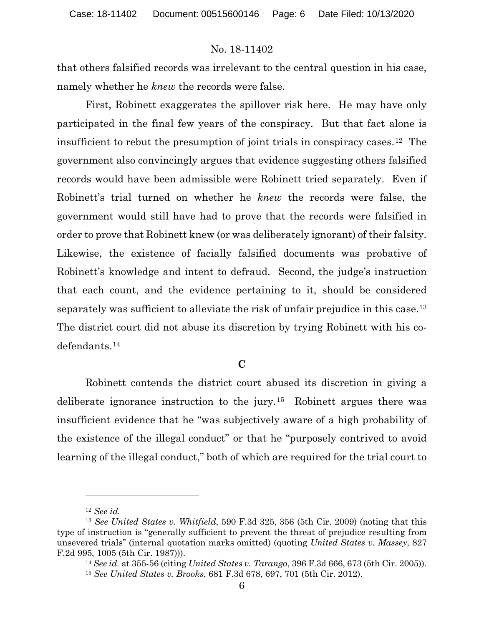that others falsified records was irrelevant to the central question in his case, namely whether he *knew* the records were false.

First, Robinett exaggerates the spillover risk here. He may have only participated in the final few years of the conspiracy. But that fact alone is insufficient to rebut the presumption of joint trials in conspiracy cases.[12](#page-5-0) The government also convincingly argues that evidence suggesting others falsified records would have been admissible were Robinett tried separately. Even if Robinett's trial turned on whether he *knew* the records were false, the government would still have had to prove that the records were falsified in order to prove that Robinett knew (or was deliberately ignorant) of their falsity. Likewise, the existence of facially falsified documents was probative of Robinett's knowledge and intent to defraud. Second, the judge's instruction that each count, and the evidence pertaining to it, should be considered separately was sufficient to alleviate the risk of unfair prejudice in this case.<sup>13</sup> The district court did not abuse its discretion by trying Robinett with his codefendants.[14](#page-5-2)

### **C**

Robinett contends the district court abused its discretion in giving a deliberate ignorance instruction to the jury.[15](#page-5-3) Robinett argues there was insufficient evidence that he "was subjectively aware of a high probability of the existence of the illegal conduct" or that he "purposely contrived to avoid learning of the illegal conduct," both of which are required for the trial court to

<sup>12</sup> *See id.*

<span id="page-5-3"></span><span id="page-5-2"></span><span id="page-5-1"></span><span id="page-5-0"></span><sup>13</sup> *See United States v. Whitfield*, 590 F.3d 325, 356 (5th Cir. 2009) (noting that this type of instruction is "generally sufficient to prevent the threat of prejudice resulting from unsevered trials" (internal quotation marks omitted) (quoting *United States v. Massey*, 827 F.2d 995, 1005 (5th Cir. 1987))).

<sup>14</sup> *See id.* at 355-56 (citing *United States v. Tarango*, 396 F.3d 666, 673 (5th Cir. 2005)).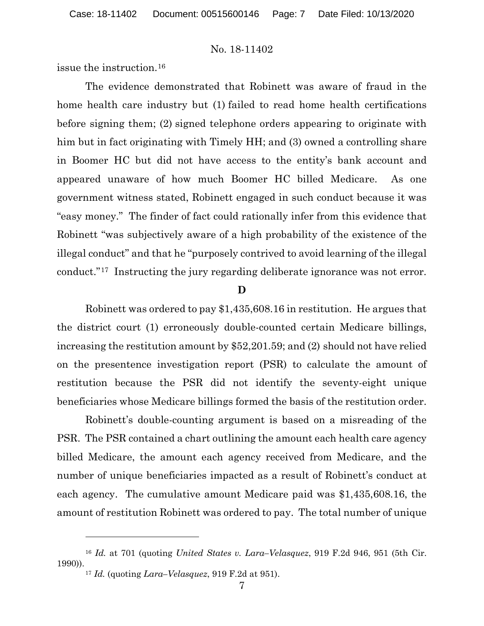issue the instruction.[16](#page-6-0)

The evidence demonstrated that Robinett was aware of fraud in the home health care industry but (1) failed to read home health certifications before signing them; (2) signed telephone orders appearing to originate with him but in fact originating with Timely HH; and (3) owned a controlling share in Boomer HC but did not have access to the entity's bank account and appeared unaware of how much Boomer HC billed Medicare. As one government witness stated, Robinett engaged in such conduct because it was "easy money." The finder of fact could rationally infer from this evidence that Robinett "was subjectively aware of a high probability of the existence of the illegal conduct" and that he "purposely contrived to avoid learning of the illegal conduct."[17](#page-6-1) Instructing the jury regarding deliberate ignorance was not error.

### **D**

Robinett was ordered to pay \$1,435,608.16 in restitution. He argues that the district court (1) erroneously double-counted certain Medicare billings, increasing the restitution amount by \$52,201.59; and (2) should not have relied on the presentence investigation report (PSR) to calculate the amount of restitution because the PSR did not identify the seventy-eight unique beneficiaries whose Medicare billings formed the basis of the restitution order.

Robinett's double-counting argument is based on a misreading of the PSR. The PSR contained a chart outlining the amount each health care agency billed Medicare, the amount each agency received from Medicare, and the number of unique beneficiaries impacted as a result of Robinett's conduct at each agency. The cumulative amount Medicare paid was \$1,435,608.16, the amount of restitution Robinett was ordered to pay. The total number of unique

<span id="page-6-1"></span><span id="page-6-0"></span><sup>16</sup> *Id.* at 701 (quoting *United States v. Lara–Velasquez*, 919 F.2d 946, 951 (5th Cir. 1990)).

<sup>17</sup> *Id.* (quoting *Lara–Velasquez*, 919 F.2d at 951).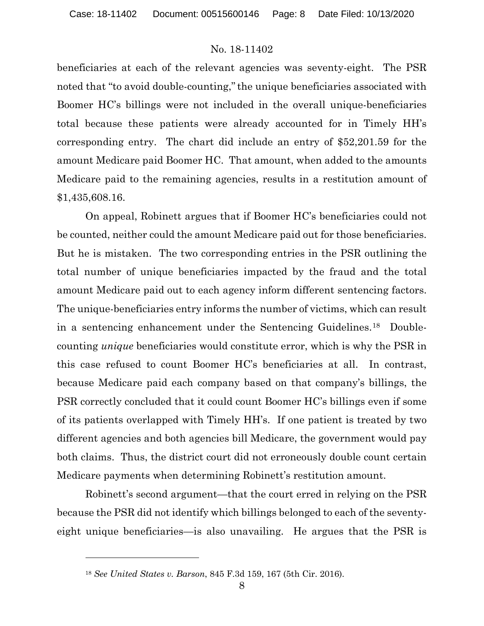beneficiaries at each of the relevant agencies was seventy-eight. The PSR noted that "to avoid double-counting,"the unique beneficiaries associated with Boomer HC's billings were not included in the overall unique-beneficiaries total because these patients were already accounted for in Timely HH's corresponding entry. The chart did include an entry of \$52,201.59 for the amount Medicare paid Boomer HC. That amount, when added to the amounts Medicare paid to the remaining agencies, results in a restitution amount of \$1,435,608.16.

On appeal, Robinett argues that if Boomer HC's beneficiaries could not be counted, neither could the amount Medicare paid out for those beneficiaries. But he is mistaken. The two corresponding entries in the PSR outlining the total number of unique beneficiaries impacted by the fraud and the total amount Medicare paid out to each agency inform different sentencing factors. The unique-beneficiaries entry informs the number of victims, which can result in a sentencing enhancement under the Sentencing Guidelines.[18](#page-7-0) Doublecounting *unique* beneficiaries would constitute error, which is why the PSR in this case refused to count Boomer HC's beneficiaries at all. In contrast, because Medicare paid each company based on that company's billings, the PSR correctly concluded that it could count Boomer HC's billings even if some of its patients overlapped with Timely HH's. If one patient is treated by two different agencies and both agencies bill Medicare, the government would pay both claims. Thus, the district court did not erroneously double count certain Medicare payments when determining Robinett's restitution amount.

Robinett's second argument—that the court erred in relying on the PSR because the PSR did not identify which billings belonged to each of the seventyeight unique beneficiaries—is also unavailing. He argues that the PSR is

<span id="page-7-0"></span><sup>18</sup> *See United States v. Barson*, 845 F.3d 159, 167 (5th Cir. 2016).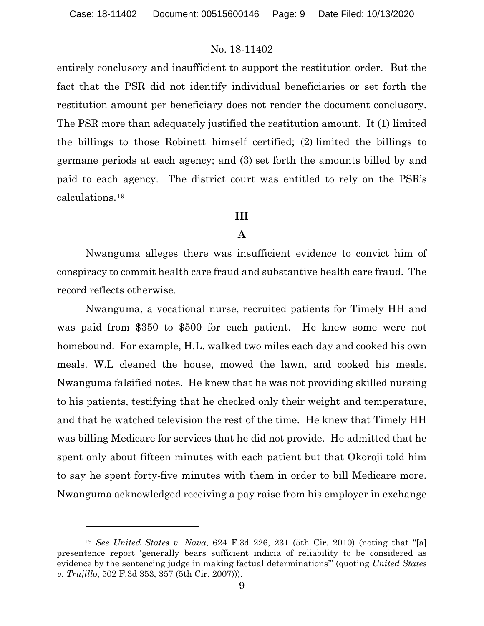entirely conclusory and insufficient to support the restitution order. But the fact that the PSR did not identify individual beneficiaries or set forth the restitution amount per beneficiary does not render the document conclusory. The PSR more than adequately justified the restitution amount. It (1) limited the billings to those Robinett himself certified; (2) limited the billings to germane periods at each agency; and (3) set forth the amounts billed by and paid to each agency. The district court was entitled to rely on the PSR's calculations.[19](#page-8-0)

#### **III**

### **A**

Nwanguma alleges there was insufficient evidence to convict him of conspiracy to commit health care fraud and substantive health care fraud. The record reflects otherwise.

Nwanguma, a vocational nurse, recruited patients for Timely HH and was paid from \$350 to \$500 for each patient. He knew some were not homebound. For example, H.L. walked two miles each day and cooked his own meals. W.L cleaned the house, mowed the lawn, and cooked his meals. Nwanguma falsified notes. He knew that he was not providing skilled nursing to his patients, testifying that he checked only their weight and temperature, and that he watched television the rest of the time. He knew that Timely HH was billing Medicare for services that he did not provide. He admitted that he spent only about fifteen minutes with each patient but that Okoroji told him to say he spent forty-five minutes with them in order to bill Medicare more. Nwanguma acknowledged receiving a pay raise from his employer in exchange

<span id="page-8-0"></span><sup>19</sup> *See United States v. Nava*, 624 F.3d 226, 231 (5th Cir. 2010) (noting that "[a] presentence report 'generally bears sufficient indicia of reliability to be considered as evidence by the sentencing judge in making factual determinations'" (quoting *United States v. Trujillo*, 502 F.3d 353, 357 (5th Cir. 2007))).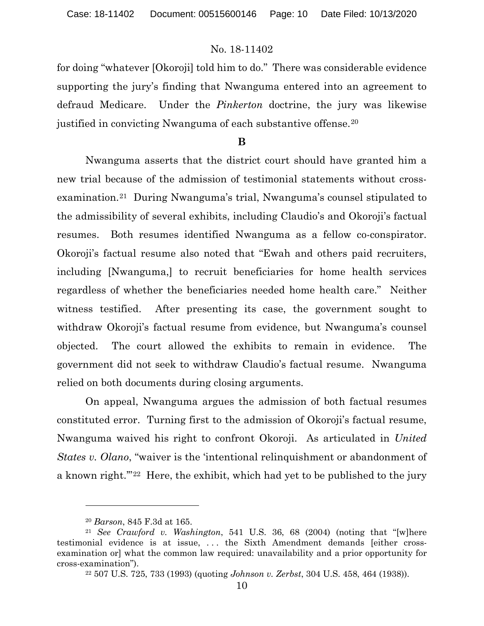for doing "whatever [Okoroji] told him to do." There was considerable evidence supporting the jury's finding that Nwanguma entered into an agreement to defraud Medicare. Under the *Pinkerton* doctrine, the jury was likewise justified in convicting Nwanguma of each substantive offense.[20](#page-9-0)

#### **B**

Nwanguma asserts that the district court should have granted him a new trial because of the admission of testimonial statements without crossexamination.[21](#page-9-1) During Nwanguma's trial, Nwanguma's counsel stipulated to the admissibility of several exhibits, including Claudio's and Okoroji's factual resumes. Both resumes identified Nwanguma as a fellow co-conspirator. Okoroji's factual resume also noted that "Ewah and others paid recruiters, including [Nwanguma,] to recruit beneficiaries for home health services regardless of whether the beneficiaries needed home health care." Neither witness testified. After presenting its case, the government sought to withdraw Okoroji's factual resume from evidence, but Nwanguma's counsel objected. The court allowed the exhibits to remain in evidence. The government did not seek to withdraw Claudio's factual resume. Nwanguma relied on both documents during closing arguments.

On appeal, Nwanguma argues the admission of both factual resumes constituted error. Turning first to the admission of Okoroji's factual resume, Nwanguma waived his right to confront Okoroji. As articulated in *United States v. Olano*, "waiver is the 'intentional relinquishment or abandonment of a known right.'"[22](#page-9-2) Here, the exhibit, which had yet to be published to the jury

<span id="page-9-2"></span><span id="page-9-1"></span><span id="page-9-0"></span><sup>20</sup> *Barson*, 845 F.3d at 165. 21 *See Crawford v. Washington*, 541 U.S. 36, 68 (2004) (noting that "[w]here testimonial evidence is at issue, . . . the Sixth Amendment demands [either crossexamination or] what the common law required: unavailability and a prior opportunity for cross-examination").

<sup>22</sup> 507 U.S. 725, 733 (1993) (quoting *Johnson v. Zerbst*, 304 U.S. 458, 464 (1938)).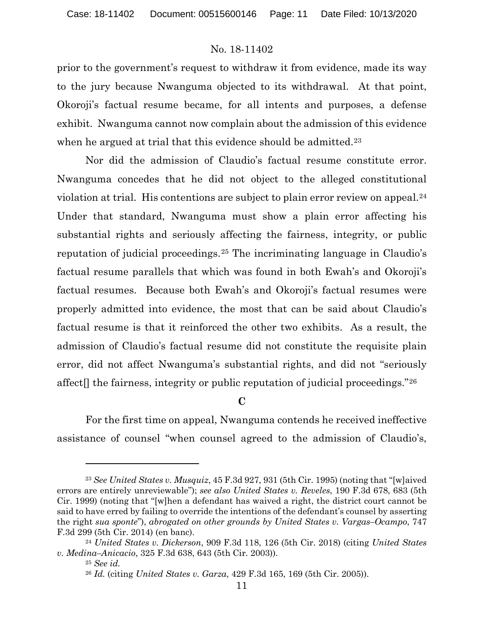prior to the government's request to withdraw it from evidence, made its way to the jury because Nwanguma objected to its withdrawal. At that point, Okoroji's factual resume became, for all intents and purposes, a defense exhibit. Nwanguma cannot now complain about the admission of this evidence when he argued at trial that this evidence should be admitted.<sup>[23](#page-10-0)</sup>

Nor did the admission of Claudio's factual resume constitute error. Nwanguma concedes that he did not object to the alleged constitutional violation at trial. His contentions are subject to plain error review on appeal[.24](#page-10-1) Under that standard, Nwanguma must show a plain error affecting his substantial rights and seriously affecting the fairness, integrity, or public reputation of judicial proceedings.[25](#page-10-2) The incriminating language in Claudio's factual resume parallels that which was found in both Ewah's and Okoroji's factual resumes. Because both Ewah's and Okoroji's factual resumes were properly admitted into evidence, the most that can be said about Claudio's factual resume is that it reinforced the other two exhibits. As a result, the admission of Claudio's factual resume did not constitute the requisite plain error, did not affect Nwanguma's substantial rights, and did not "seriously affect[] the fairness, integrity or public reputation of judicial proceedings."[26](#page-10-3)

**C**

For the first time on appeal, Nwanguma contends he received ineffective assistance of counsel "when counsel agreed to the admission of Claudio's,

<span id="page-10-0"></span><sup>23</sup> *See United States v. Musquiz*, 45 F.3d 927, 931 (5th Cir. 1995) (noting that "[w]aived errors are entirely unreviewable"); *see also United States v. Reveles*, 190 F.3d 678, 683 (5th Cir. 1999) (noting that "[w]hen a defendant has waived a right, the district court cannot be said to have erred by failing to override the intentions of the defendant's counsel by asserting the right *sua sponte*"), *abrogated on other grounds by United States v. Vargas–Ocampo*, 747 F.3d 299 (5th Cir. 2014) (en banc).

<span id="page-10-3"></span><span id="page-10-2"></span><span id="page-10-1"></span><sup>24</sup> *United States v. Dickerson*, 909 F.3d 118, 126 (5th Cir. 2018) (citing *United States v. Medina–Anicacio*, 325 F.3d 638, 643 (5th Cir. 2003)).

<sup>25</sup> *See id.*

<sup>26</sup> *Id.* (citing *United States v. Garza*, 429 F.3d 165, 169 (5th Cir. 2005)).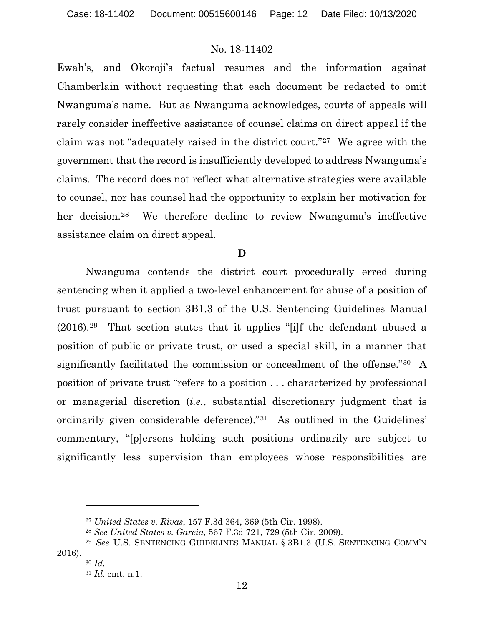Ewah's, and Okoroji's factual resumes and the information against Chamberlain without requesting that each document be redacted to omit Nwanguma's name. But as Nwanguma acknowledges, courts of appeals will rarely consider ineffective assistance of counsel claims on direct appeal if the claim was not "adequately raised in the district court."[27](#page-11-0) We agree with the government that the record is insufficiently developed to address Nwanguma's claims. The record does not reflect what alternative strategies were available to counsel, nor has counsel had the opportunity to explain her motivation for her decision.<sup>28</sup> We therefore decline to review Nwanguma's ineffective assistance claim on direct appeal.

## **D**

Nwanguma contends the district court procedurally erred during sentencing when it applied a two-level enhancement for abuse of a position of trust pursuant to section 3B1.3 of the U.S. Sentencing Guidelines Manual (2016).[29](#page-11-2) That section states that it applies "[i]f the defendant abused a position of public or private trust, or used a special skill, in a manner that significantly facilitated the commission or concealment of the offense."[30](#page-11-3) A position of private trust "refers to a position . . . characterized by professional or managerial discretion (*i.e.*, substantial discretionary judgment that is ordinarily given considerable deference)."[31](#page-11-4) As outlined in the Guidelines' commentary, "[p]ersons holding such positions ordinarily are subject to significantly less supervision than employees whose responsibilities are

<sup>27</sup> *United States v. Rivas*, 157 F.3d 364, 369 (5th Cir. 1998).

<sup>28</sup> *See United States v. Garcia*, 567 F.3d 721, 729 (5th Cir. 2009).

<span id="page-11-4"></span><span id="page-11-3"></span><span id="page-11-2"></span><span id="page-11-1"></span><span id="page-11-0"></span><sup>29</sup> *See* U.S. SENTENCING GUIDELINES MANUAL § 3B1.3 (U.S. SENTENCING COMM'N 2016).

<sup>30</sup> *Id.*

<sup>31</sup> *Id.* cmt. n.1.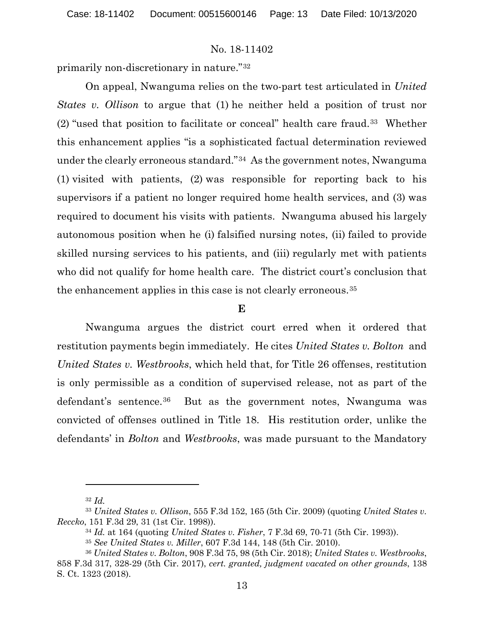primarily non-discretionary in nature."[32](#page-12-0)

On appeal, Nwanguma relies on the two-part test articulated in *United States v. Ollison* to argue that (1) he neither held a position of trust nor (2) "used that position to facilitate or conceal" health care fraud.[33](#page-12-1) Whether this enhancement applies "is a sophisticated factual determination reviewed under the clearly erroneous standard."[34](#page-12-2) As the government notes, Nwanguma (1) visited with patients, (2) was responsible for reporting back to his supervisors if a patient no longer required home health services, and (3) was required to document his visits with patients. Nwanguma abused his largely autonomous position when he (i) falsified nursing notes, (ii) failed to provide skilled nursing services to his patients, and (iii) regularly met with patients who did not qualify for home health care. The district court's conclusion that the enhancement applies in this case is not clearly erroneous.[35](#page-12-3)

### **E**

Nwanguma argues the district court erred when it ordered that restitution payments begin immediately. He cites *United States v. Bolton* and *United States v. Westbrooks*, which held that, for Title 26 offenses, restitution is only permissible as a condition of supervised release, not as part of the defendant's sentence.[36](#page-12-4) But as the government notes, Nwanguma was convicted of offenses outlined in Title 18. His restitution order, unlike the defendants' in *Bolton* and *Westbrooks*, was made pursuant to the Mandatory

<sup>32</sup> *Id.*

<span id="page-12-2"></span><span id="page-12-1"></span><span id="page-12-0"></span><sup>33</sup> *United States v. Ollison*, 555 F.3d 152, 165 (5th Cir. 2009) (quoting *United States v. Reccko*, 151 F.3d 29, 31 (1st Cir. 1998)).

<sup>34</sup> *Id.* at 164 (quoting *United States v. Fisher*, 7 F.3d 69, 70-71 (5th Cir. 1993)).

<sup>35</sup> *See United States v. Miller*, 607 F.3d 144, 148 (5th Cir. 2010).

<span id="page-12-4"></span><span id="page-12-3"></span><sup>36</sup> *United States v. Bolton*, 908 F.3d 75, 98 (5th Cir. 2018); *United States v. Westbrooks*, 858 F.3d 317, 328-29 (5th Cir. 2017), *cert. granted, judgment vacated on other grounds*, 138 S. Ct. 1323 (2018).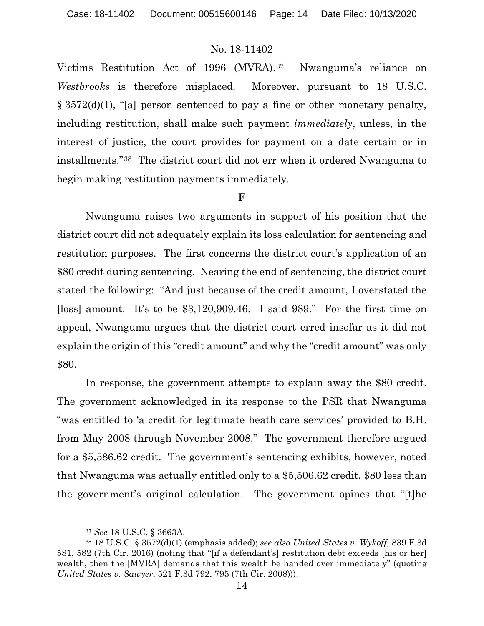Victims Restitution Act of 1996 (MVRA).[37](#page-13-0) Nwanguma's reliance on *Westbrooks* is therefore misplaced. Moreover, pursuant to 18 U.S.C. § 3572(d)(1), "[a] person sentenced to pay a fine or other monetary penalty, including restitution, shall make such payment *immediately*, unless, in the interest of justice, the court provides for payment on a date certain or in installments."[38](#page-13-1) The district court did not err when it ordered Nwanguma to begin making restitution payments immediately.

### **F**

Nwanguma raises two arguments in support of his position that the district court did not adequately explain its loss calculation for sentencing and restitution purposes. The first concerns the district court's application of an \$80 credit during sentencing. Nearing the end of sentencing, the district court stated the following: "And just because of the credit amount, I overstated the [loss] amount. It's to be \$3,120,909.46. I said 989." For the first time on appeal, Nwanguma argues that the district court erred insofar as it did not explain the origin of this "credit amount" and why the "credit amount" was only \$80.

In response, the government attempts to explain away the \$80 credit. The government acknowledged in its response to the PSR that Nwanguma "was entitled to 'a credit for legitimate heath care services' provided to B.H. from May 2008 through November 2008." The government therefore argued for a \$5,586.62 credit. The government's sentencing exhibits, however, noted that Nwanguma was actually entitled only to a \$5,506.62 credit, \$80 less than the government's original calculation. The government opines that "[t]he

<sup>37</sup> *See* 18 U.S.C. § 3663A.

<span id="page-13-1"></span><span id="page-13-0"></span><sup>38</sup> 18 U.S.C. § 3572(d)(1) (emphasis added); *see also United States v. Wykoff*, 839 F.3d 581, 582 (7th Cir. 2016) (noting that "[if a defendant's] restitution debt exceeds [his or her] wealth, then the [MVRA] demands that this wealth be handed over immediately" (quoting *United States v. Sawyer*, 521 F.3d 792, 795 (7th Cir. 2008))).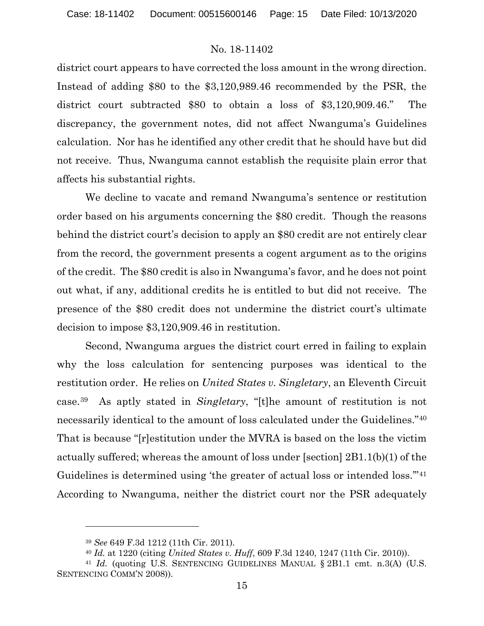district court appears to have corrected the loss amount in the wrong direction. Instead of adding \$80 to the \$3,120,989.46 recommended by the PSR, the district court subtracted \$80 to obtain a loss of \$3,120,909.46." The discrepancy, the government notes, did not affect Nwanguma's Guidelines calculation. Nor has he identified any other credit that he should have but did not receive. Thus, Nwanguma cannot establish the requisite plain error that affects his substantial rights.

We decline to vacate and remand Nwanguma's sentence or restitution order based on his arguments concerning the \$80 credit. Though the reasons behind the district court's decision to apply an \$80 credit are not entirely clear from the record, the government presents a cogent argument as to the origins of the credit. The \$80 credit is also in Nwanguma's favor, and he does not point out what, if any, additional credits he is entitled to but did not receive. The presence of the \$80 credit does not undermine the district court's ultimate decision to impose \$3,120,909.46 in restitution.

Second, Nwanguma argues the district court erred in failing to explain why the loss calculation for sentencing purposes was identical to the restitution order. He relies on *United States v. Singletary*, an Eleventh Circuit case.[39](#page-14-0) As aptly stated in *Singletary*, "[t]he amount of restitution is not necessarily identical to the amount of loss calculated under the Guidelines."[40](#page-14-1) That is because "[r]estitution under the MVRA is based on the loss the victim actually suffered; whereas the amount of loss under [section] 2B1.1(b)(1) of the Guidelines is determined using 'the greater of actual loss or intended loss.'"[41](#page-14-2) According to Nwanguma, neither the district court nor the PSR adequately

<sup>39</sup> *See* 649 F.3d 1212 (11th Cir. 2011).

<sup>40</sup> *Id.* at 1220 (citing *United States v. Huff*, 609 F.3d 1240, 1247 (11th Cir. 2010)).

<span id="page-14-2"></span><span id="page-14-1"></span><span id="page-14-0"></span><sup>&</sup>lt;sup>41</sup> *Id.* (quoting U.S. SENTENCING GUIDELINES MANUAL § 2B1.1 cmt. n.3(A) (U.S. SENTENCING COMM'N 2008)).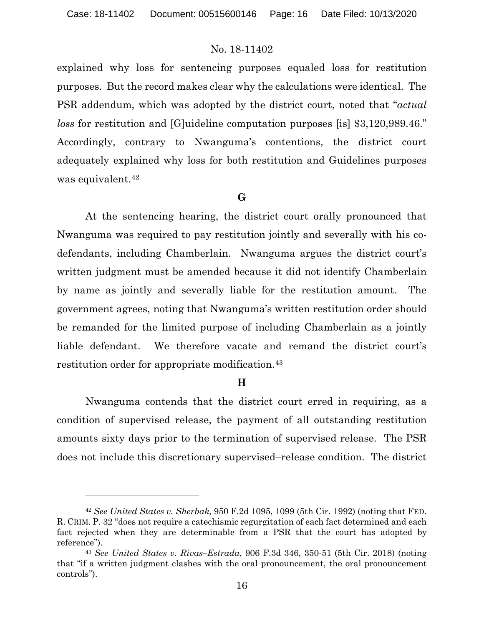explained why loss for sentencing purposes equaled loss for restitution purposes. But the record makes clear why the calculations were identical. The PSR addendum, which was adopted by the district court, noted that "*actual loss* for restitution and [G]uideline computation purposes [is] \$3,120,989.46." Accordingly, contrary to Nwanguma's contentions, the district court adequately explained why loss for both restitution and Guidelines purposes was equivalent.<sup>[42](#page-15-0)</sup>

### **G**

At the sentencing hearing, the district court orally pronounced that Nwanguma was required to pay restitution jointly and severally with his codefendants, including Chamberlain. Nwanguma argues the district court's written judgment must be amended because it did not identify Chamberlain by name as jointly and severally liable for the restitution amount. The government agrees, noting that Nwanguma's written restitution order should be remanded for the limited purpose of including Chamberlain as a jointly liable defendant. We therefore vacate and remand the district court's restitution order for appropriate modification.<sup>[43](#page-15-1)</sup>

## **H**

Nwanguma contends that the district court erred in requiring, as a condition of supervised release, the payment of all outstanding restitution amounts sixty days prior to the termination of supervised release. The PSR does not include this discretionary supervised–release condition. The district

<span id="page-15-0"></span><sup>42</sup> *See United States v. Sherbak*, 950 F.2d 1095, 1099 (5th Cir. 1992) (noting that FED. R. CRIM. P. 32 "does not require a catechismic regurgitation of each fact determined and each fact rejected when they are determinable from a PSR that the court has adopted by reference").

<span id="page-15-1"></span><sup>43</sup> *See United States v. Rivas–Estrada*, 906 F.3d 346, 350-51 (5th Cir. 2018) (noting that "if a written judgment clashes with the oral pronouncement, the oral pronouncement controls").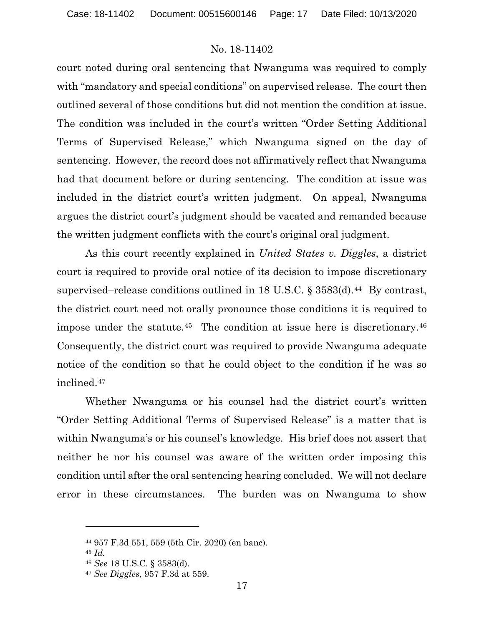court noted during oral sentencing that Nwanguma was required to comply with "mandatory and special conditions" on supervised release. The court then outlined several of those conditions but did not mention the condition at issue. The condition was included in the court's written "Order Setting Additional Terms of Supervised Release," which Nwanguma signed on the day of sentencing. However, the record does not affirmatively reflect that Nwanguma had that document before or during sentencing. The condition at issue was included in the district court's written judgment. On appeal, Nwanguma argues the district court's judgment should be vacated and remanded because the written judgment conflicts with the court's original oral judgment.

As this court recently explained in *United States v. Diggles*, a district court is required to provide oral notice of its decision to impose discretionary supervised–release conditions outlined in 18 U.S.C.  $\S 3583(d)$ .<sup>44</sup> By contrast, the district court need not orally pronounce those conditions it is required to impose under the statute.<sup>[45](#page-16-1)</sup> The condition at issue here is discretionary.<sup>46</sup> Consequently, the district court was required to provide Nwanguma adequate notice of the condition so that he could object to the condition if he was so inclined.[47](#page-16-3)

Whether Nwanguma or his counsel had the district court's written "Order Setting Additional Terms of Supervised Release" is a matter that is within Nwanguma's or his counsel's knowledge. His brief does not assert that neither he nor his counsel was aware of the written order imposing this condition until after the oral sentencing hearing concluded. We will not declare error in these circumstances. The burden was on Nwanguma to show

<span id="page-16-1"></span><span id="page-16-0"></span><sup>44</sup> 957 F.3d 551, 559 (5th Cir. 2020) (en banc).

<sup>45</sup> *Id.*

<span id="page-16-2"></span><sup>46</sup> *See* 18 U.S.C. § 3583(d).

<span id="page-16-3"></span><sup>47</sup> *See Diggles*, 957 F.3d at 559.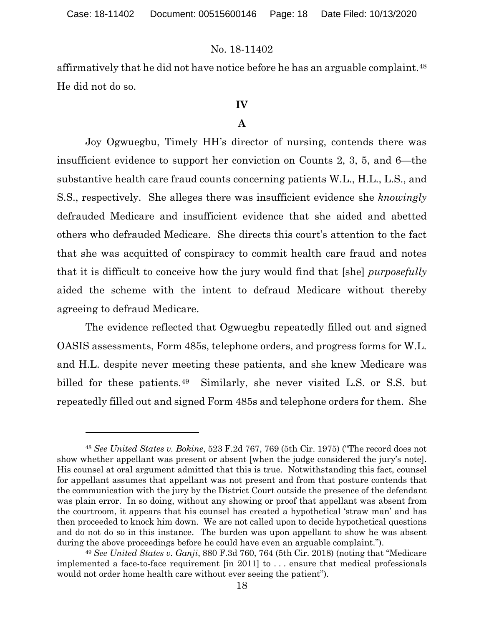affirmatively that he did not have notice before he has an arguable complaint[.48](#page-17-0) He did not do so.

# **IV**

# **A**

Joy Ogwuegbu, Timely HH's director of nursing, contends there was insufficient evidence to support her conviction on Counts 2, 3, 5, and 6—the substantive health care fraud counts concerning patients W.L., H.L., L.S., and S.S., respectively. She alleges there was insufficient evidence she *knowingly* defrauded Medicare and insufficient evidence that she aided and abetted others who defrauded Medicare. She directs this court's attention to the fact that she was acquitted of conspiracy to commit health care fraud and notes that it is difficult to conceive how the jury would find that [she] *purposefully* aided the scheme with the intent to defraud Medicare without thereby agreeing to defraud Medicare.

The evidence reflected that Ogwuegbu repeatedly filled out and signed OASIS assessments, Form 485s, telephone orders, and progress forms for W.L. and H.L. despite never meeting these patients, and she knew Medicare was billed for these patients.[49](#page-17-1) Similarly, she never visited L.S. or S.S. but repeatedly filled out and signed Form 485s and telephone orders for them. She

<span id="page-17-0"></span><sup>48</sup> *See United States v. Bokine*, 523 F.2d 767, 769 (5th Cir. 1975) ("The record does not show whether appellant was present or absent [when the judge considered the jury's note]. His counsel at oral argument admitted that this is true. Notwithstanding this fact, counsel for appellant assumes that appellant was not present and from that posture contends that the communication with the jury by the District Court outside the presence of the defendant was plain error. In so doing, without any showing or proof that appellant was absent from the courtroom, it appears that his counsel has created a hypothetical 'straw man' and has then proceeded to knock him down. We are not called upon to decide hypothetical questions and do not do so in this instance. The burden was upon appellant to show he was absent during the above proceedings before he could have even an arguable complaint.").

<span id="page-17-1"></span><sup>49</sup> *See United States v. Ganji*, 880 F.3d 760, 764 (5th Cir. 2018) (noting that "Medicare implemented a face-to-face requirement [in 2011] to . . . ensure that medical professionals would not order home health care without ever seeing the patient").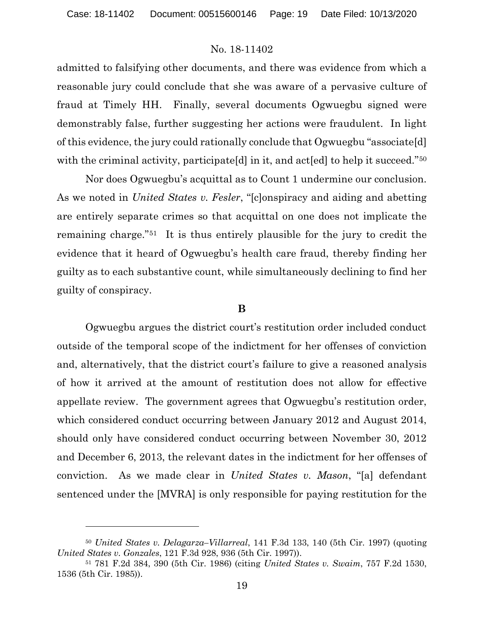admitted to falsifying other documents, and there was evidence from which a reasonable jury could conclude that she was aware of a pervasive culture of fraud at Timely HH. Finally, several documents Ogwuegbu signed were demonstrably false, further suggesting her actions were fraudulent. In light of this evidence, the jury could rationally conclude that Ogwuegbu "associate[d] with the criminal activity, participate d in it, and acted to help it succeed."<sup>[50](#page-18-0)</sup>

Nor does Ogwuegbu's acquittal as to Count 1 undermine our conclusion. As we noted in *United States v. Fesler*, "[c]onspiracy and aiding and abetting are entirely separate crimes so that acquittal on one does not implicate the remaining charge."[51](#page-18-1) It is thus entirely plausible for the jury to credit the evidence that it heard of Ogwuegbu's health care fraud, thereby finding her guilty as to each substantive count, while simultaneously declining to find her guilty of conspiracy.

#### **B**

Ogwuegbu argues the district court's restitution order included conduct outside of the temporal scope of the indictment for her offenses of conviction and, alternatively, that the district court's failure to give a reasoned analysis of how it arrived at the amount of restitution does not allow for effective appellate review. The government agrees that Ogwuegbu's restitution order, which considered conduct occurring between January 2012 and August 2014, should only have considered conduct occurring between November 30, 2012 and December 6, 2013, the relevant dates in the indictment for her offenses of conviction. As we made clear in *United States v. Mason*, "[a] defendant sentenced under the [MVRA] is only responsible for paying restitution for the

<span id="page-18-0"></span><sup>50</sup> *United States v. Delagarza–Villarreal*, 141 F.3d 133, 140 (5th Cir. 1997) (quoting *United States v. Gonzales*, 121 F.3d 928, 936 (5th Cir. 1997)).

<span id="page-18-1"></span><sup>51</sup> 781 F.2d 384, 390 (5th Cir. 1986) (citing *United States v. Swaim*, 757 F.2d 1530, 1536 (5th Cir. 1985)).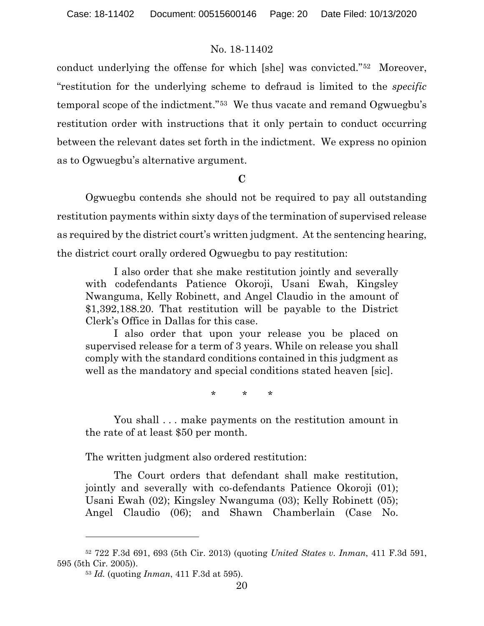conduct underlying the offense for which [she] was convicted."[52](#page-19-0) Moreover, "restitution for the underlying scheme to defraud is limited to the *specific* temporal scope of the indictment."[53](#page-19-1) We thus vacate and remand Ogwuegbu's restitution order with instructions that it only pertain to conduct occurring between the relevant dates set forth in the indictment. We express no opinion as to Ogwuegbu's alternative argument.

### **C**

Ogwuegbu contends she should not be required to pay all outstanding restitution payments within sixty days of the termination of supervised release as required by the district court's written judgment. At the sentencing hearing, the district court orally ordered Ogwuegbu to pay restitution:

I also order that she make restitution jointly and severally with codefendants Patience Okoroji, Usani Ewah, Kingsley Nwanguma, Kelly Robinett, and Angel Claudio in the amount of \$1,392,188.20. That restitution will be payable to the District Clerk's Office in Dallas for this case.

I also order that upon your release you be placed on supervised release for a term of 3 years. While on release you shall comply with the standard conditions contained in this judgment as well as the mandatory and special conditions stated heaven [sic].

\* \* \*

You shall . . . make payments on the restitution amount in the rate of at least \$50 per month.

The written judgment also ordered restitution:

The Court orders that defendant shall make restitution, jointly and severally with co-defendants Patience Okoroji (01); Usani Ewah (02); Kingsley Nwanguma (03); Kelly Robinett (05); Angel Claudio (06); and Shawn Chamberlain (Case No.

<span id="page-19-1"></span><span id="page-19-0"></span><sup>52</sup> 722 F.3d 691, 693 (5th Cir. 2013) (quoting *United States v. Inman*, 411 F.3d 591, 595 (5th Cir. 2005)).

<sup>53</sup> *Id.* (quoting *Inman*, 411 F.3d at 595).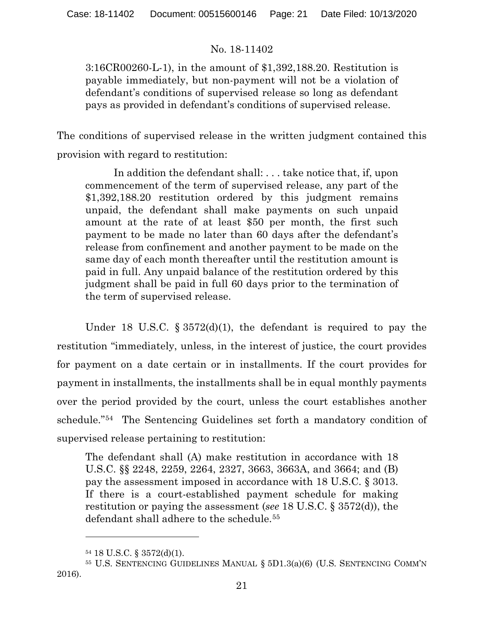3:16CR00260-L-1), in the amount of \$1,392,188.20. Restitution is payable immediately, but non-payment will not be a violation of defendant's conditions of supervised release so long as defendant pays as provided in defendant's conditions of supervised release.

The conditions of supervised release in the written judgment contained this provision with regard to restitution:

In addition the defendant shall: . . . take notice that, if, upon commencement of the term of supervised release, any part of the \$1,392,188.20 restitution ordered by this judgment remains unpaid, the defendant shall make payments on such unpaid amount at the rate of at least \$50 per month, the first such payment to be made no later than 60 days after the defendant's release from confinement and another payment to be made on the same day of each month thereafter until the restitution amount is paid in full. Any unpaid balance of the restitution ordered by this judgment shall be paid in full 60 days prior to the termination of the term of supervised release.

Under 18 U.S.C. § 3572(d)(1), the defendant is required to pay the restitution "immediately, unless, in the interest of justice, the court provides for payment on a date certain or in installments. If the court provides for payment in installments, the installments shall be in equal monthly payments over the period provided by the court, unless the court establishes another schedule."[54](#page-20-0) The Sentencing Guidelines set forth a mandatory condition of supervised release pertaining to restitution:

The defendant shall (A) make restitution in accordance with 18 U.S.C. §§ 2248, 2259, 2264, 2327, 3663, 3663A, and 3664; and (B) pay the assessment imposed in accordance with 18 U.S.C. § 3013. If there is a court-established payment schedule for making restitution or paying the assessment (*see* 18 U.S.C. § 3572(d)), the defendant shall adhere to the schedule.<sup>[55](#page-20-1)</sup>

<sup>54</sup> 18 U.S.C. § 3572(d)(1).

<span id="page-20-1"></span><span id="page-20-0"></span><sup>55</sup> U.S. SENTENCING GUIDELINES MANUAL § 5D1.3(a)(6) (U.S. SENTENCING COMM'N 2016).